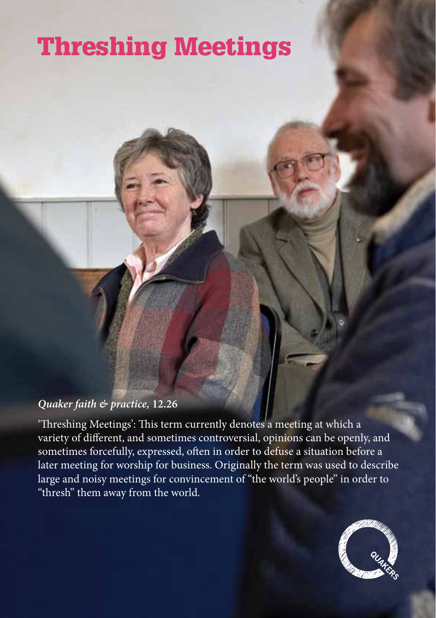# Threshing Meetings

#### *Quaker faith & practice,* **12.26**

'Threshing Meetings': This term currently denotes a meeting at which a variety of different, and sometimes controversial, opinions can be openly, and sometimes forcefully, expressed, often in order to defuse a situation before a later meeting for worship for business. Originally the term was used to describe large and noisy meetings for convincement of "the world's people" in order to "thresh" them away from the world.

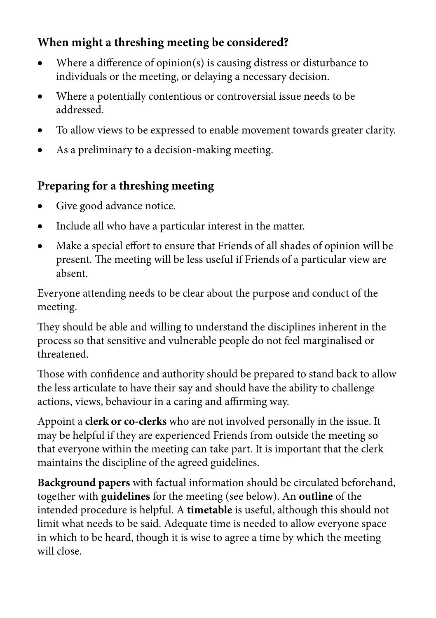#### **When might a threshing meeting be considered?**

- Where a difference of opinion(s) is causing distress or disturbance to individuals or the meeting, or delaying a necessary decision.
- Where a potentially contentious or controversial issue needs to be addressed.
- To allow views to be expressed to enable movement towards greater clarity.
- As a preliminary to a decision-making meeting.

### **Preparing for a threshing meeting**

- Give good advance notice.
- Include all who have a particular interest in the matter.
- Make a special effort to ensure that Friends of all shades of opinion will be present. The meeting will be less useful if Friends of a particular view are absent.

Everyone attending needs to be clear about the purpose and conduct of the meeting.

They should be able and willing to understand the disciplines inherent in the process so that sensitive and vulnerable people do not feel marginalised or threatened.

Those with confidence and authority should be prepared to stand back to allow the less articulate to have their say and should have the ability to challenge actions, views, behaviour in a caring and affirming way.

Appoint a **clerk or co-clerks** who are not involved personally in the issue. It may be helpful if they are experienced Friends from outside the meeting so that everyone within the meeting can take part. It is important that the clerk maintains the discipline of the agreed guidelines.

**Background papers** with factual information should be circulated beforehand, together with **guidelines** for the meeting (see below). An **outline** of the intended procedure is helpful. A **timetable** is useful, although this should not limit what needs to be said. Adequate time is needed to allow everyone space in which to be heard, though it is wise to agree a time by which the meeting will close.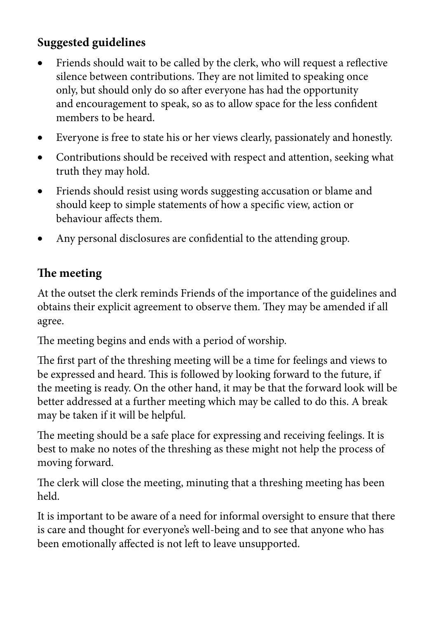#### **Suggested guidelines**

- Friends should wait to be called by the clerk, who will request a reflective silence between contributions. They are not limited to speaking once only, but should only do so after everyone has had the opportunity and encouragement to speak, so as to allow space for the less confident members to be heard.
- Everyone is free to state his or her views clearly, passionately and honestly.
- • Contributions should be received with respect and attention, seeking what truth they may hold.
- Friends should resist using words suggesting accusation or blame and should keep to simple statements of how a specific view, action or behaviour affects them.
- Any personal disclosures are confidential to the attending group.

#### **The meeting**

At the outset the clerk reminds Friends of the importance of the guidelines and obtains their explicit agreement to observe them. They may be amended if all agree.

The meeting begins and ends with a period of worship.

The first part of the threshing meeting will be a time for feelings and views to be expressed and heard. This is followed by looking forward to the future, if the meeting is ready. On the other hand, it may be that the forward look will be better addressed at a further meeting which may be called to do this. A break may be taken if it will be helpful.

The meeting should be a safe place for expressing and receiving feelings. It is best to make no notes of the threshing as these might not help the process of moving forward.

The clerk will close the meeting, minuting that a threshing meeting has been held.

It is important to be aware of a need for informal oversight to ensure that there is care and thought for everyone's well-being and to see that anyone who has been emotionally affected is not left to leave unsupported.